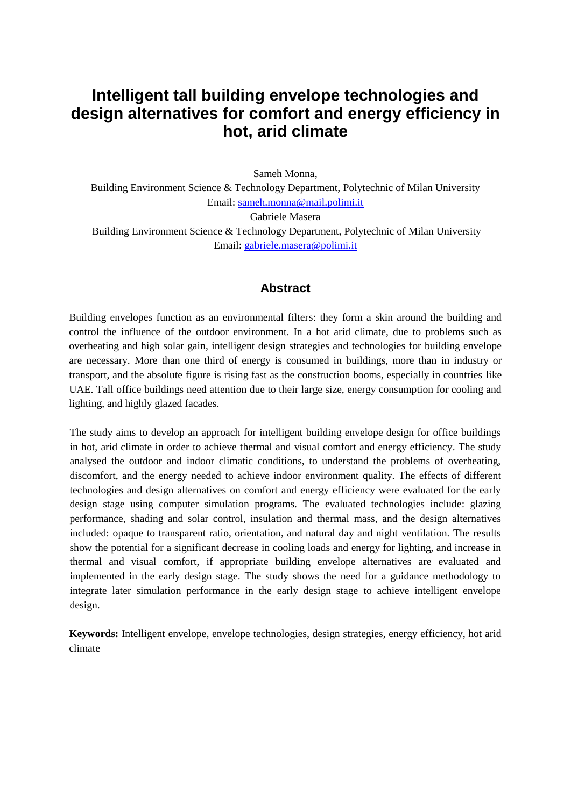# **Intelligent tall building envelope technologies and design alternatives for comfort and energy efficiency in hot, arid climate**

Sameh Monna,

Building Environment Science & Technology Department, Polytechnic of Milan University Email: [sameh.monna@mail.polimi.it](mailto:sameh.monna@mail.polimi.it)

Gabriele Masera Building Environment Science & Technology Department, Polytechnic of Milan University Email: [gabriele.masera@polimi.it](mailto:gabriele.masera@polimi.it)

### **Abstract**

Building envelopes function as an environmental filters: they form a skin around the building and control the influence of the outdoor environment. In a hot arid climate, due to problems such as overheating and high solar gain, intelligent design strategies and technologies for building envelope are necessary. More than one third of energy is consumed in buildings, more than in industry or transport, and the absolute figure is rising fast as the construction booms, especially in countries like UAE. Tall office buildings need attention due to their large size, energy consumption for cooling and lighting, and highly glazed facades.

The study aims to develop an approach for intelligent building envelope design for office buildings in hot, arid climate in order to achieve thermal and visual comfort and energy efficiency. The study analysed the outdoor and indoor climatic conditions, to understand the problems of overheating, discomfort, and the energy needed to achieve indoor environment quality. The effects of different technologies and design alternatives on comfort and energy efficiency were evaluated for the early design stage using computer simulation programs. The evaluated technologies include: glazing performance, shading and solar control, insulation and thermal mass, and the design alternatives included: opaque to transparent ratio, orientation, and natural day and night ventilation. The results show the potential for a significant decrease in cooling loads and energy for lighting, and increase in thermal and visual comfort, if appropriate building envelope alternatives are evaluated and implemented in the early design stage. The study shows the need for a guidance methodology to integrate later simulation performance in the early design stage to achieve intelligent envelope design.

**Keywords:** Intelligent envelope, envelope technologies, design strategies, energy efficiency, hot arid climate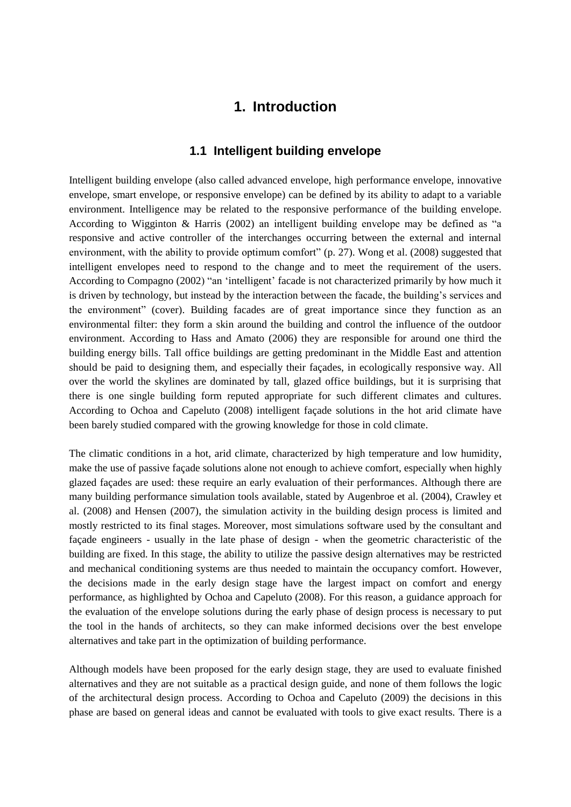## **1. Introduction**

#### **1.1 Intelligent building envelope**

Intelligent building envelope (also called advanced envelope, high performance envelope, innovative envelope, smart envelope, or responsive envelope) can be defined by its ability to adapt to a variable environment. Intelligence may be related to the responsive performance of the building envelope. According to Wigginton & Harris (2002) an intelligent building envelope may be defined as "a responsive and active controller of the interchanges occurring between the external and internal environment, with the ability to provide optimum comfort" (p. 27). Wong et al. (2008) suggested that intelligent envelopes need to respond to the change and to meet the requirement of the users. According to Compagno (2002) "an 'intelligent' facade is not characterized primarily by how much it is driven by technology, but instead by the interaction between the facade, the building's services and the environment" (cover). Building facades are of great importance since they function as an environmental filter: they form a skin around the building and control the influence of the outdoor environment. According to Hass and Amato (2006) they are responsible for around one third the building energy bills. Tall office buildings are getting predominant in the Middle East and attention should be paid to designing them, and especially their façades, in ecologically responsive way. All over the world the skylines are dominated by tall, glazed office buildings, but it is surprising that there is one single building form reputed appropriate for such different climates and cultures. According to Ochoa and Capeluto (2008) intelligent façade solutions in the hot arid climate have been barely studied compared with the growing knowledge for those in cold climate.

The climatic conditions in a hot, arid climate, characterized by high temperature and low humidity, make the use of passive façade solutions alone not enough to achieve comfort, especially when highly glazed façades are used: these require an early evaluation of their performances. Although there are many building performance simulation tools available, stated by Augenbroe et al. (2004), Crawley et al. (2008) and Hensen (2007), the simulation activity in the building design process is limited and mostly restricted to its final stages. Moreover, most simulations software used by the consultant and façade engineers - usually in the late phase of design - when the geometric characteristic of the building are fixed. In this stage, the ability to utilize the passive design alternatives may be restricted and mechanical conditioning systems are thus needed to maintain the occupancy comfort. However, the decisions made in the early design stage have the largest impact on comfort and energy performance, as highlighted by Ochoa and Capeluto (2008). For this reason, a guidance approach for the evaluation of the envelope solutions during the early phase of design process is necessary to put the tool in the hands of architects, so they can make informed decisions over the best envelope alternatives and take part in the optimization of building performance.

Although models have been proposed for the early design stage, they are used to evaluate finished alternatives and they are not suitable as a practical design guide, and none of them follows the logic of the architectural design process. According to Ochoa and Capeluto (2009) the decisions in this phase are based on general ideas and cannot be evaluated with tools to give exact results. There is a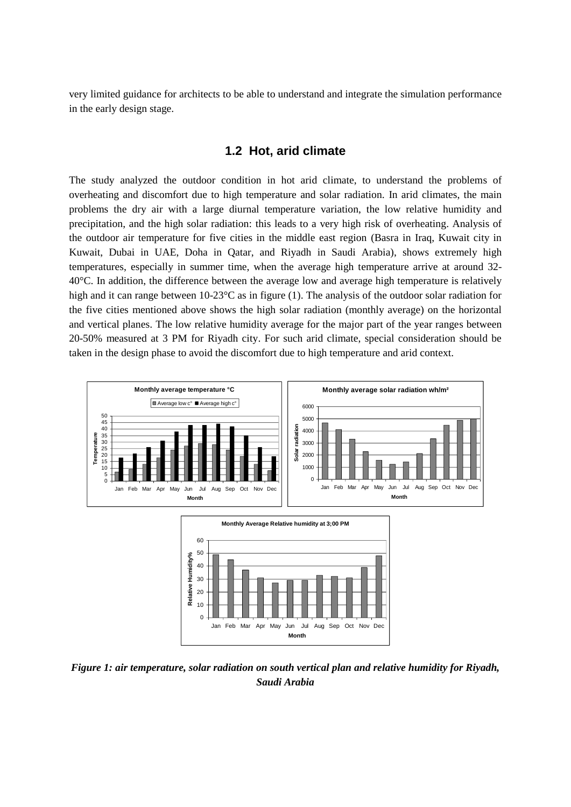very limited guidance for architects to be able to understand and integrate the simulation performance in the early design stage.

#### **1.2 Hot, arid climate**

The study analyzed the outdoor condition in hot arid climate, to understand the problems of overheating and discomfort due to high temperature and solar radiation. In arid climates, the main problems the dry air with a large diurnal temperature variation, the low relative humidity and precipitation, and the high solar radiation: this leads to a very high risk of overheating. Analysis of the outdoor air temperature for five cities in the middle east region (Basra in Iraq, Kuwait city in Kuwait, Dubai in UAE, Doha in Qatar, and Riyadh in Saudi Arabia), shows extremely high temperatures, especially in summer time, when the average high temperature arrive at around 32- 40°C. In addition, the difference between the average low and average high temperature is relatively high and it can range between  $10\text{-}23\text{°C}$  as in figure (1). The analysis of the outdoor solar radiation for the five cities mentioned above shows the high solar radiation (monthly average) on the horizontal and vertical planes. The low relative humidity average for the major part of the year ranges between 20-50% measured at 3 PM for Riyadh city. For such arid climate, special consideration should be taken in the design phase to avoid the discomfort due to high temperature and arid context.



*Figure 1: air temperature, solar radiation on south vertical plan and relative humidity for Riyadh, Saudi Arabia*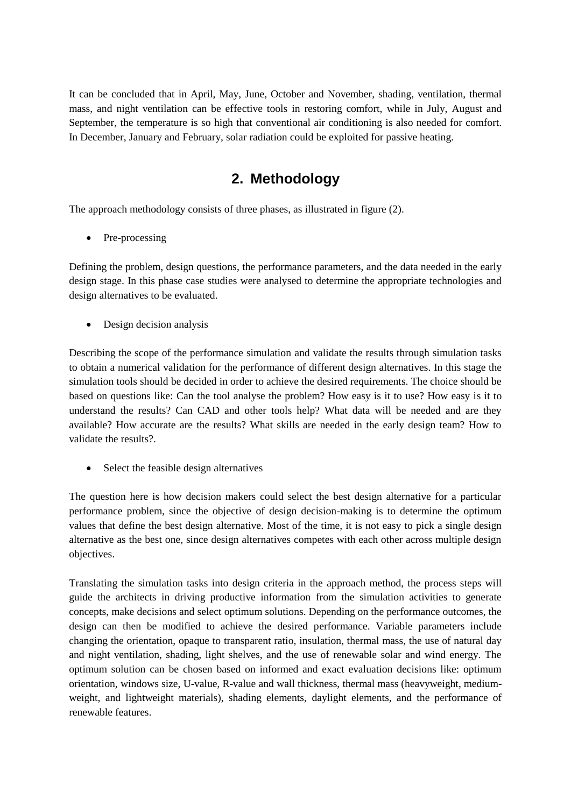It can be concluded that in April, May, June, October and November, shading, ventilation, thermal mass, and night ventilation can be effective tools in restoring comfort, while in July, August and September, the temperature is so high that conventional air conditioning is also needed for comfort. In December, January and February, solar radiation could be exploited for passive heating.

## **2. Methodology**

The approach methodology consists of three phases, as illustrated in figure (2).

• Pre-processing

Defining the problem, design questions, the performance parameters, and the data needed in the early design stage. In this phase case studies were analysed to determine the appropriate technologies and design alternatives to be evaluated.

• Design decision analysis

Describing the scope of the performance simulation and validate the results through simulation tasks to obtain a numerical validation for the performance of different design alternatives. In this stage the simulation tools should be decided in order to achieve the desired requirements. The choice should be based on questions like: Can the tool analyse the problem? How easy is it to use? How easy is it to understand the results? Can CAD and other tools help? What data will be needed and are they available? How accurate are the results? What skills are needed in the early design team? How to validate the results?.

• Select the feasible design alternatives

The question here is how decision makers could select the best design alternative for a particular performance problem, since the objective of design decision-making is to determine the optimum values that define the best design alternative. Most of the time, it is not easy to pick a single design alternative as the best one, since design alternatives competes with each other across multiple design objectives.

Translating the simulation tasks into design criteria in the approach method, the process steps will guide the architects in driving productive information from the simulation activities to generate concepts, make decisions and select optimum solutions. Depending on the performance outcomes, the design can then be modified to achieve the desired performance. Variable parameters include changing the orientation, opaque to transparent ratio, insulation, thermal mass, the use of natural day and night ventilation, shading, light shelves, and the use of renewable solar and wind energy. The optimum solution can be chosen based on informed and exact evaluation decisions like: optimum orientation, windows size, U-value, R-value and wall thickness, thermal mass (heavyweight, mediumweight, and lightweight materials), shading elements, daylight elements, and the performance of renewable features.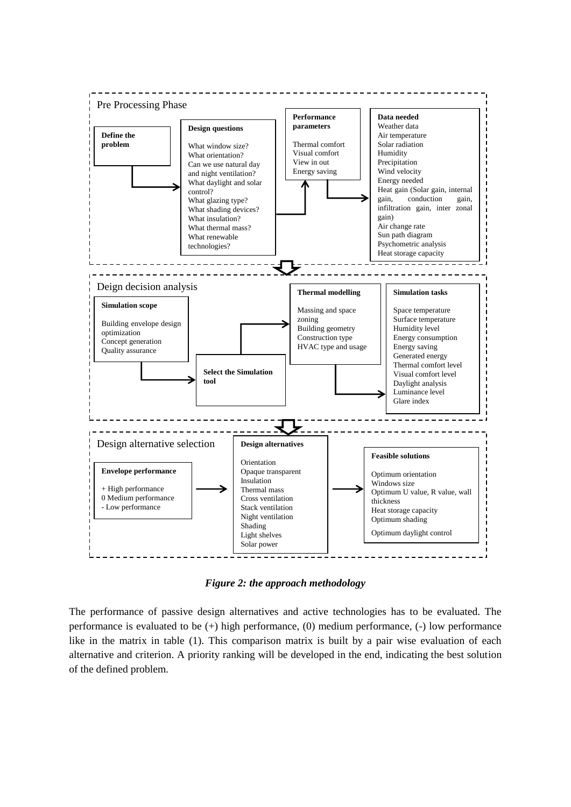

*Figure 2: the approach methodology*

The performance of passive design alternatives and active technologies has to be evaluated. The performance is evaluated to be (+) high performance, (0) medium performance, (-) low performance like in the matrix in table (1). This comparison matrix is built by a pair wise evaluation of each alternative and criterion. A priority ranking will be developed in the end, indicating the best solution of the defined problem.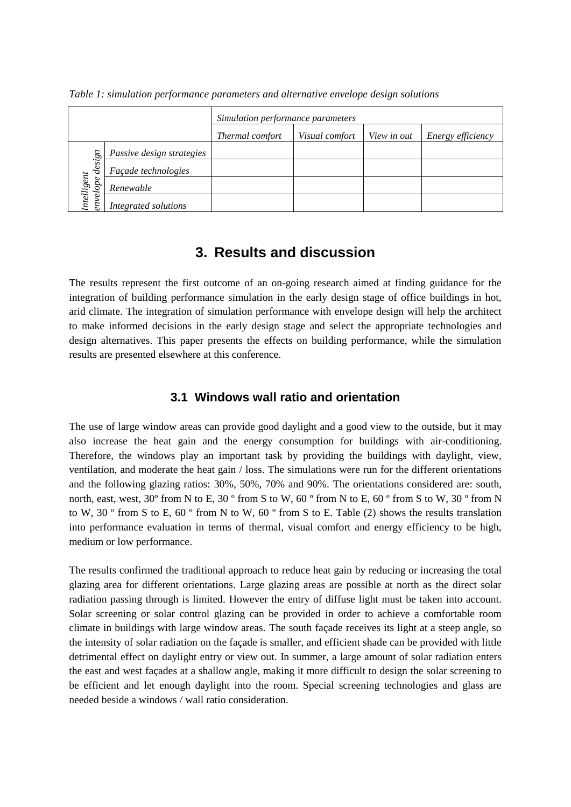|                                                 |                           | Simulation performance parameters |                |             |                   |  |  |
|-------------------------------------------------|---------------------------|-----------------------------------|----------------|-------------|-------------------|--|--|
|                                                 |                           | Thermal comfort                   | Visual comfort | View in out | Energy efficiency |  |  |
| $\mathfrak{g}$<br>desi,<br>Intelligent<br>adope | Passive design strategies |                                   |                |             |                   |  |  |
|                                                 | Façade technologies       |                                   |                |             |                   |  |  |
|                                                 | Renewable                 |                                   |                |             |                   |  |  |
|                                                 | Integrated solutions      |                                   |                |             |                   |  |  |

*Table 1: simulation performance parameters and alternative envelope design solutions*

## **3. Results and discussion**

The results represent the first outcome of an on-going research aimed at finding guidance for the integration of building performance simulation in the early design stage of office buildings in hot, arid climate. The integration of simulation performance with envelope design will help the architect to make informed decisions in the early design stage and select the appropriate technologies and design alternatives. This paper presents the effects on building performance, while the simulation results are presented elsewhere at this conference.

### **3.1 Windows wall ratio and orientation**

The use of large window areas can provide good daylight and a good view to the outside, but it may also increase the heat gain and the energy consumption for buildings with air-conditioning. Therefore, the windows play an important task by providing the buildings with daylight, view, ventilation, and moderate the heat gain / loss. The simulations were run for the different orientations and the following glazing ratios: 30%, 50%, 70% and 90%. The orientations considered are: south, north, east, west, 30º from N to E, 30 º from S to W, 60 º from N to E, 60 º from S to W, 30 º from N to W, 30 º from S to E, 60 º from N to W, 60 º from S to E. Table (2) shows the results translation into performance evaluation in terms of thermal, visual comfort and energy efficiency to be high, medium or low performance.

The results confirmed the traditional approach to reduce heat gain by reducing or increasing the total glazing area for different orientations. Large glazing areas are possible at north as the direct solar radiation passing through is limited. However the entry of diffuse light must be taken into account. Solar screening or solar control glazing can be provided in order to achieve a comfortable room climate in buildings with large window areas. The south façade receives its light at a steep angle, so the intensity of solar radiation on the façade is smaller, and efficient shade can be provided with little detrimental effect on daylight entry or view out. In summer, a large amount of solar radiation enters the east and west façades at a shallow angle, making it more difficult to design the solar screening to be efficient and let enough daylight into the room. Special screening technologies and glass are needed beside a windows / wall ratio consideration.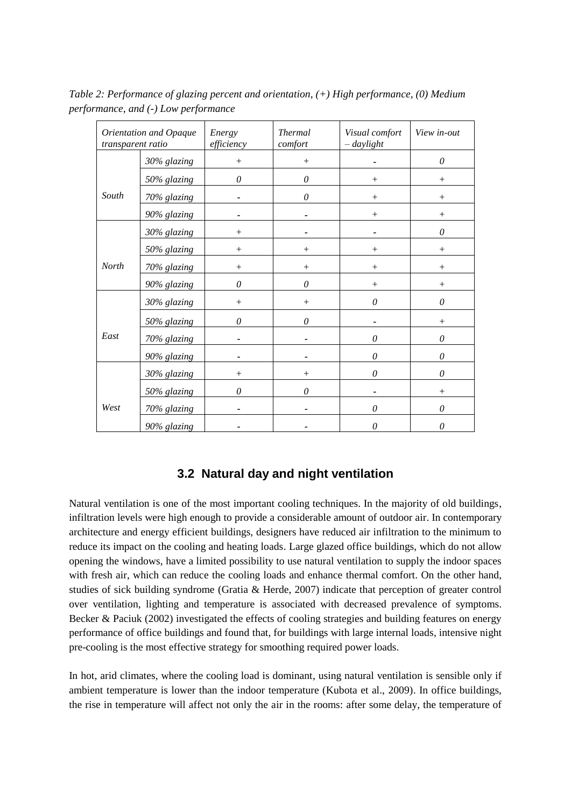| Orientation and Opaque<br>transparent ratio |             | Energy<br>efficiency | <b>Thermal</b><br>comfort | Visual comfort<br>$-daylight$ | View in-out |
|---------------------------------------------|-------------|----------------------|---------------------------|-------------------------------|-------------|
|                                             | 30% glazing | $^{+}$               | $^{+}$                    |                               | $\theta$    |
|                                             | 50% glazing | 0                    | 0                         | $^{+}$                        | $^{+}$      |
| South                                       | 70% glazing |                      | 0                         | $+$                           | $+$         |
|                                             | 90% glazing |                      |                           | $+$                           | $+$         |
|                                             | 30% glazing | $^{+}$               |                           |                               | $\theta$    |
|                                             | 50% glazing | $^{+}$               | $^+$                      | $^{+}$                        | $+$         |
| <b>North</b>                                | 70% glazing | $^{+}$               | $^{+}$                    | $^{+}$                        | $^{+}$      |
|                                             | 90% glazing | 0                    | $\theta$                  | $^{+}$                        | $^{+}$      |
|                                             | 30% glazing | $^{+}$               | $^{+}$                    | $\theta$                      | 0           |
|                                             | 50% glazing | $\theta$             | 0                         |                               | $+$         |
| East                                        | 70% glazing |                      |                           | $\theta$                      | $\theta$    |
|                                             | 90% glazing |                      |                           | $\theta$                      | $\theta$    |
|                                             | 30% glazing | $^{+}$               | $^{+}$                    | $\theta$                      | $\theta$    |
|                                             | 50% glazing | $\theta$             | $\theta$                  |                               | $+$         |
| West                                        | 70% glazing |                      |                           | $\theta$                      | $\theta$    |
|                                             | 90% glazing |                      |                           | 0                             | $\theta$    |

*Table 2: Performance of glazing percent and orientation, (+) High performance, (0) Medium performance, and (-) Low performance*

### **3.2 Natural day and night ventilation**

Natural ventilation is one of the most important cooling techniques. In the majority of old buildings, infiltration levels were high enough to provide a considerable amount of outdoor air. In contemporary architecture and energy efficient buildings, designers have reduced air infiltration to the minimum to reduce its impact on the cooling and heating loads. Large glazed office buildings, which do not allow opening the windows, have a limited possibility to use natural ventilation to supply the indoor spaces with fresh air, which can reduce the cooling loads and enhance thermal comfort. On the other hand, studies of sick building syndrome (Gratia & Herde, 2007) indicate that perception of greater control over ventilation, lighting and temperature is associated with decreased prevalence of symptoms. Becker & Paciuk (2002) investigated the effects of cooling strategies and building features on energy performance of office buildings and found that, for buildings with large internal loads, intensive night pre-cooling is the most effective strategy for smoothing required power loads.

In hot, arid climates, where the cooling load is dominant, using natural ventilation is sensible only if ambient temperature is lower than the indoor temperature (Kubota et al., 2009). In office buildings, the rise in temperature will affect not only the air in the rooms: after some delay, the temperature of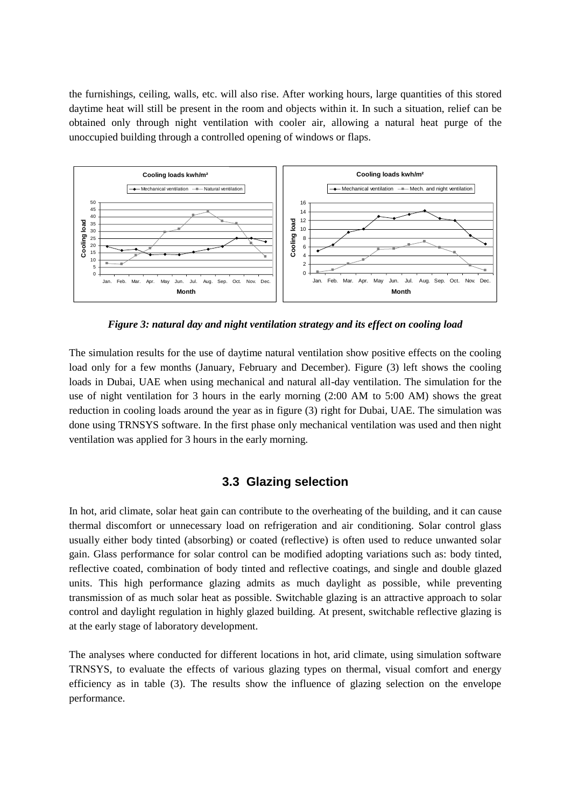the furnishings, ceiling, walls, etc. will also rise. After working hours, large quantities of this stored daytime heat will still be present in the room and objects within it. In such a situation, relief can be obtained only through night ventilation with cooler air, allowing a natural heat purge of the unoccupied building through a controlled opening of windows or flaps.



*Figure 3: natural day and night ventilation strategy and its effect on cooling load*

The simulation results for the use of daytime natural ventilation show positive effects on the cooling load only for a few months (January, February and December). Figure (3) left shows the cooling loads in Dubai, UAE when using mechanical and natural all-day ventilation. The simulation for the use of night ventilation for 3 hours in the early morning (2:00 AM to 5:00 AM) shows the great reduction in cooling loads around the year as in figure (3) right for Dubai, UAE. The simulation was done using TRNSYS software. In the first phase only mechanical ventilation was used and then night ventilation was applied for 3 hours in the early morning.

### **3.3 Glazing selection**

In hot, arid climate, solar heat gain can contribute to the overheating of the building, and it can cause thermal discomfort or unnecessary load on refrigeration and air conditioning. Solar control glass usually either body tinted (absorbing) or coated (reflective) is often used to reduce unwanted solar gain. Glass performance for solar control can be modified adopting variations such as: body tinted, reflective coated, combination of body tinted and reflective coatings, and single and double glazed units. This high performance glazing admits as much daylight as possible, while preventing transmission of as much solar heat as possible. Switchable glazing is an attractive approach to solar control and daylight regulation in highly glazed building. At present, switchable reflective glazing is at the early stage of laboratory development.

The analyses where conducted for different locations in hot, arid climate, using simulation software TRNSYS, to evaluate the effects of various glazing types on thermal, visual comfort and energy efficiency as in table (3). The results show the influence of glazing selection on the envelope performance.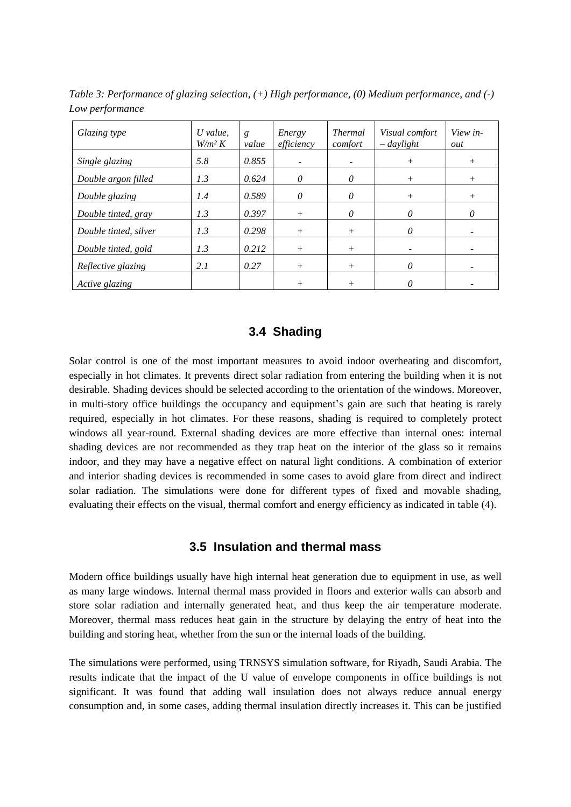| Glazing type          | $U$ value.<br>$W/m^2 K$ | g<br>value | Energy<br>efficiency     | <b>Thermal</b><br>comfort | Visual comfort<br>$-davlight$ | View in-<br>out |
|-----------------------|-------------------------|------------|--------------------------|---------------------------|-------------------------------|-----------------|
| Single glazing        | 5.8                     | 0.855      | $\overline{\phantom{0}}$ |                           | $^{+}$                        | $^{+}$          |
| Double argon filled   | 1.3                     | 0.624      | 0                        | 0                         | $^{+}$                        | $^{+}$          |
| Double glazing        | 1.4                     | 0.589      | 0                        | 0                         | $^{+}$                        | $^{+}$          |
| Double tinted, gray   | 1.3                     | 0.397      | $^{+}$                   | 0                         | $\theta$                      | 0               |
| Double tinted, silver | 1.3                     | 0.298      | $^{+}$                   | $^{+}$                    | 0                             |                 |
| Double tinted, gold   | 1.3                     | 0.212      | $^{+}$                   | $^{+}$                    |                               |                 |
| Reflective glazing    | 2.1                     | 0.27       | $^{+}$                   | $^{+}$                    | 0                             |                 |
| Active glazing        |                         |            | $^+$                     |                           | Ω                             |                 |

*Table 3: Performance of glazing selection, (+) High performance, (0) Medium performance, and (-) Low performance*

### **3.4 Shading**

Solar control is one of the most important measures to avoid indoor overheating and discomfort, especially in hot climates. It prevents direct solar radiation from entering the building when it is not desirable. Shading devices should be selected according to the orientation of the windows. Moreover, in multi-story office buildings the occupancy and equipment's gain are such that heating is rarely required, especially in hot climates. For these reasons, shading is required to completely protect windows all year-round. External shading devices are more effective than internal ones: internal shading devices are not recommended as they trap heat on the interior of the glass so it remains indoor, and they may have a negative effect on natural light conditions. A combination of exterior and interior shading devices is recommended in some cases to avoid glare from direct and indirect solar radiation. The simulations were done for different types of fixed and movable shading, evaluating their effects on the visual, thermal comfort and energy efficiency as indicated in table (4).

#### **3.5 Insulation and thermal mass**

Modern office buildings usually have high internal heat generation due to equipment in use, as well as many large windows. Internal thermal mass provided in floors and exterior walls can absorb and store solar radiation and internally generated heat, and thus keep the air temperature moderate. Moreover, thermal mass reduces heat gain in the structure by delaying the entry of heat into the building and storing heat, whether from the sun or the internal loads of the building.

The simulations were performed, using TRNSYS simulation software, for Riyadh, Saudi Arabia. The results indicate that the impact of the U value of envelope components in office buildings is not significant. It was found that adding wall insulation does not always reduce annual energy consumption and, in some cases, adding thermal insulation directly increases it. This can be justified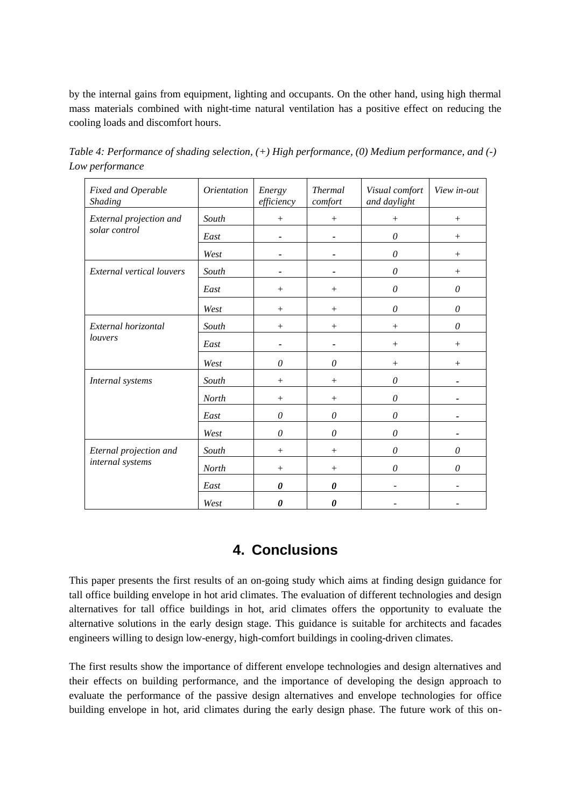by the internal gains from equipment, lighting and occupants. On the other hand, using high thermal mass materials combined with night-time natural ventilation has a positive effect on reducing the cooling loads and discomfort hours.

| Fixed and Operable<br>Shading    | <i>Orientation</i> | Energy<br>efficiency  | <b>Thermal</b><br>comfort | Visual comfort<br>and daylight | View in-out |
|----------------------------------|--------------------|-----------------------|---------------------------|--------------------------------|-------------|
| External projection and          | South              | $^{+}$                |                           | $^{+}$                         | $^{+}$      |
| solar control                    | East               | -                     |                           | 0                              | $+$         |
|                                  | West               |                       |                           | 0                              | $+$         |
| <b>External vertical louvers</b> | South              |                       |                           | $\theta$                       | $+$         |
|                                  | East               | $^{+}$                | $^{+}$                    | 0                              | $\theta$    |
|                                  | West               | $^{+}$                | $^{+}$                    | 0                              | $\theta$    |
| External horizontal              | South              | $^{+}$                | $^{+}$                    | $+$                            | $\theta$    |
| louvers                          | East               |                       |                           | $+$                            | $+$         |
|                                  | West               | $\theta$              | $\mathcal O$              | $^{+}$                         | $+$         |
| Internal systems                 | South              |                       |                           | $\mathcal O$                   |             |
|                                  | North              |                       |                           | $\theta$                       |             |
|                                  | East               | $\theta$              | $\theta$                  | $\theta$                       |             |
|                                  | West               | $\theta$              | $\theta$                  | $\theta$                       |             |
| Eternal projection and           | South              | $^{+}$                | $^{+}$                    | 0                              | $\theta$    |
| internal systems                 | North              |                       | $^{+}$                    | 0                              | $\theta$    |
|                                  | East               | 0                     | 0                         |                                |             |
|                                  | West               | $\boldsymbol{\theta}$ | $\boldsymbol{\theta}$     |                                |             |

*Table 4: Performance of shading selection, (+) High performance, (0) Medium performance, and (-) Low performance*

## **4. Conclusions**

This paper presents the first results of an on-going study which aims at finding design guidance for tall office building envelope in hot arid climates. The evaluation of different technologies and design alternatives for tall office buildings in hot, arid climates offers the opportunity to evaluate the alternative solutions in the early design stage. This guidance is suitable for architects and facades engineers willing to design low-energy, high-comfort buildings in cooling-driven climates.

The first results show the importance of different envelope technologies and design alternatives and their effects on building performance, and the importance of developing the design approach to evaluate the performance of the passive design alternatives and envelope technologies for office building envelope in hot, arid climates during the early design phase. The future work of this on